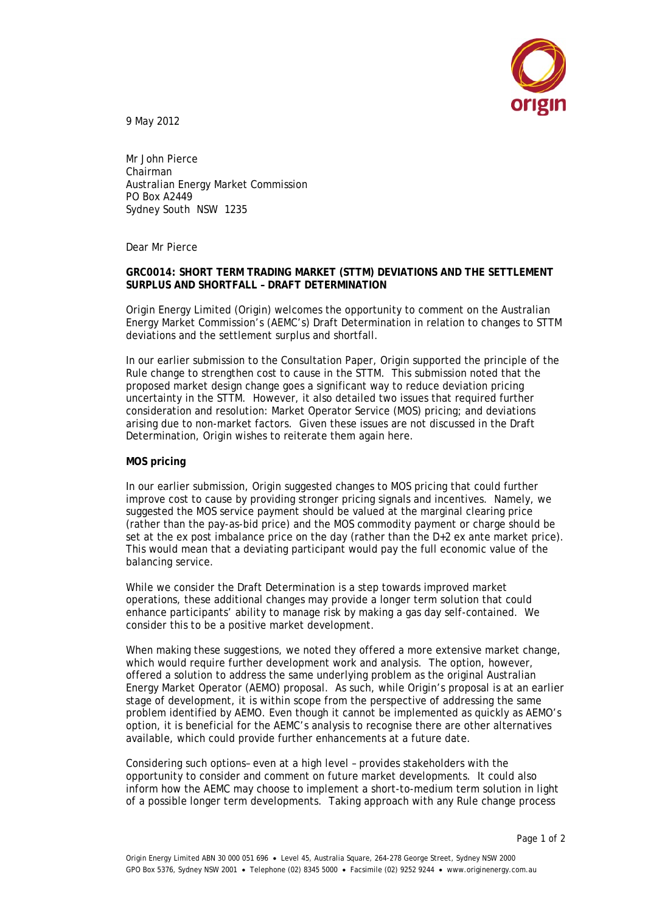

9 May 2012

Mr John Pierce Chairman Australian Energy Market Commission PO Box A2449 Sydney South NSW 1235

Dear Mr Pierce

## **GRC0014: SHORT TERM TRADING MARKET (STTM) DEVIATIONS AND THE SETTLEMENT SURPLUS AND SHORTFALL – DRAFT DETERMINATION**

Origin Energy Limited (Origin) welcomes the opportunity to comment on the Australian Energy Market Commission's (AEMC's) Draft Determination in relation to changes to STTM deviations and the settlement surplus and shortfall.

In our earlier submission to the Consultation Paper, Origin supported the principle of the Rule change to strengthen cost to cause in the STTM. This submission noted that the proposed market design change goes a significant way to reduce deviation pricing uncertainty in the STTM. However, it also detailed two issues that required further consideration and resolution: Market Operator Service (MOS) pricing; and deviations arising due to non-market factors. Given these issues are not discussed in the Draft Determination, Origin wishes to reiterate them again here.

## **MOS pricing**

In our earlier submission, Origin suggested changes to MOS pricing that could further improve cost to cause by providing stronger pricing signals and incentives. Namely, we suggested the MOS service payment should be valued at the marginal clearing price (rather than the pay-as-bid price) and the MOS commodity payment or charge should be set at the ex post imbalance price on the day (rather than the D+2 ex ante market price). This would mean that a deviating participant would pay the full economic value of the balancing service.

While we consider the Draft Determination is a step towards improved market operations, these additional changes may provide a longer term solution that could enhance participants' ability to manage risk by making a gas day self-contained. We consider this to be a positive market development.

When making these suggestions, we noted they offered a more extensive market change, which would require further development work and analysis. The option, however, offered a solution to address the same underlying problem as the original Australian Energy Market Operator (AEMO) proposal. As such, while Origin's proposal is at an earlier stage of development, it is within scope from the perspective of addressing the same problem identified by AEMO. Even though it cannot be implemented as quickly as AEMO's option, it is beneficial for the AEMC's analysis to recognise there are other alternatives available, which could provide further enhancements at a future date.

Considering such options– even at a high level – provides stakeholders with the opportunity to consider and comment on future market developments. It could also inform how the AEMC may choose to implement a short-to-medium term solution in light of a possible longer term developments. Taking approach with any Rule change process